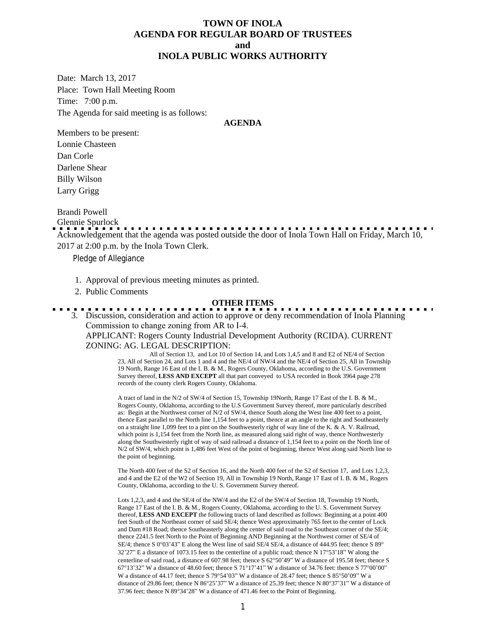### **TOWN OF INOLA AGENDA FOR REGULAR BOARD OF TRUSTEES and INOLA PUBLIC WORKS AUTHORITY**

Date: March 13, 2017 Place: Town Hall Meeting Room Time: 7:00 p.m. The Agenda for said meeting is as follows:

#### **AGENDA**

Members to be present: Lonnie Chasteen Dan Corle Darlene Shear Billy Wilson Larry Grigg

Brandi Powell

Glennie Spurlock

Acknowledgement that the agenda was posted outside the door of Inola Town Hall on Friday, March 10, 2017 at 2:00 p.m. by the Inola Town Clerk.

Pledge of Allegiance

- 1. Approval of previous meeting minutes as printed.
- 2. Public Comments

#### **OTHER ITEMS**

3. Discussion, consideration and action to approve or deny recommendation of Inola Planning Commission to change zoning from AR to I-4. APPLICANT: Rogers County Industrial Development Authority (RCIDA). CURRENT

ZONING: AG. LEGAL DESCRIPTION:

 All of Section 13, and Lot 10 of Section 14, and Lots 1,4,5 and 8 and E2 of NE/4 of Section 23, All of Section 24, and Lots 1 and 4 and the NE/4 of NW/4 and the NE/4 of Section 25, All in Township 19 North, Range 16 East of the I. B. & M., Rogers County, Oklahoma, according to the U.S. Government Survey thereof, **LESS AND EXCEPT** all that part conveyed to USA recorded in Book 3964 page 278 records of the county clerk Rogers County, Oklahoma.

A tract of land in the N/2 of SW/4 of Section 15, Township 19North, Range 17 East of the I. B. & M., Rogers County, Oklahoma, according to the U.S Government Survey thereof, more particularly described as: Begin at the Northwest corner of N/2 of SW/4, thence South along the West line 400 feet to a point, thence East parallel to the North line 1,154 feet to a point, thence at an angle to the right and Southeasterly on a straight line 1,099 feet to a pint on the Southwesterly right of way line of the K. & A. V. Railroad, which point is 1,154 feet from the North line, as measured along said right of way, thence Northwesterly along the Southwesterly right of way of said railroad a distance of 1,154 feet to a point on the North line of N/2 of SW/4, which point is 1,486 feet West of the point of beginning, thence West along said North line to the point of beginning.

The North 400 feet of the S2 of Section 16, and the North 400 feet of the S2 of Section 17, and Lots 1,2,3, and 4 and the E2 of the W2 of Section 19, All in Township 19 North, Range 17 East of I. B. & M., Rogers County, Oklahoma, according to the U. S. Government Survey thereof.

Lots 1,2,3, and 4 and the SE/4 of the NW/4 and the E2 of the SW/4 of Section 18, Township 19 North, Range 17 East of the I. B. & M., Rogers County, Oklahoma, according to the U. S. Government Survey thereof, **LESS AND EXCEPT** the following tracts of land described as follows: Beginning at a point 400 feet South of the Northeast corner of said SE/4; thence West approximately 765 feet to the center of Lock and Dam #18 Road; thence Southeasterly along the center of said road to the Southeast corner of the SE/4; thence 2241.5 feet North to the Point of Beginning AND Beginning at the Northwest corner of SE/4 of SE/4; thence S 0°03'43" E along the West line of said SE/4 SE/4, a distance of 444.95 feet; thence S 89° 32'27" E a distance of 1073.15 feet to the centerline of a public road; thence N 17°53'18" W along the centerline of said road, a distance of 607.98 feet; thence S 62°50'49" W a distance of 195.58 feet; thence S 67°13'32" W a distance of 48.60 feet; thence S 71°17'41" W a distance of 34.76 feet: thence S 77°00'00" W a distance of 44.17 feet; thence S 79°54'03" W a distance of 28.47 feet; thence S 85°50'09" W a distance of 29.86 feet; thence N 86°25'37" W a distance of 25.39 feet; thence N 80°37'31" W a distance of 37.96 feet; thence N 89°34'28" W a distance of 471.46 feet to the Point of Beginning.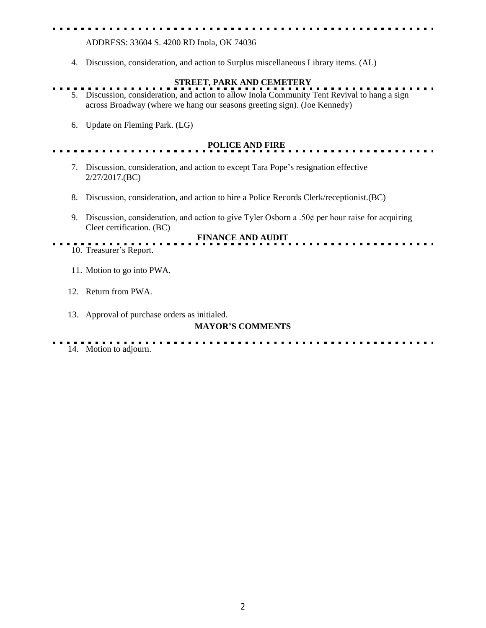ADDRESS: 33604 S. 4200 RD Inola, OK 74036

4. Discussion, consideration, and action to Surplus miscellaneous Library items. (AL)

# **STREET, PARK AND CEMETERY**

- 5. Discussion, consideration, and action to allow Inola Community Tent Revival to hang a sign across Broadway (where we hang our seasons greeting sign). (Joe Kennedy)
	- 6. Update on Fleming Park. (LG)

### **POLICE AND FIRE**

- 7. Discussion, consideration, and action to except Tara Pope's resignation effective 2/27/2017.(BC)
- 8. Discussion, consideration, and action to hire a Police Records Clerk/receptionist.(BC)
- 9. Discussion, consideration, and action to give Tyler Osborn a .50 $\phi$  per hour raise for acquiring Cleet certification. (BC)



- 10. Treasurer's Report.
	- 11. Motion to go into PWA.
	- 12. Return from PWA.
	- 13. Approval of purchase orders as initialed.

## **MAYOR'S COMMENTS**

14. Motion to adjourn.